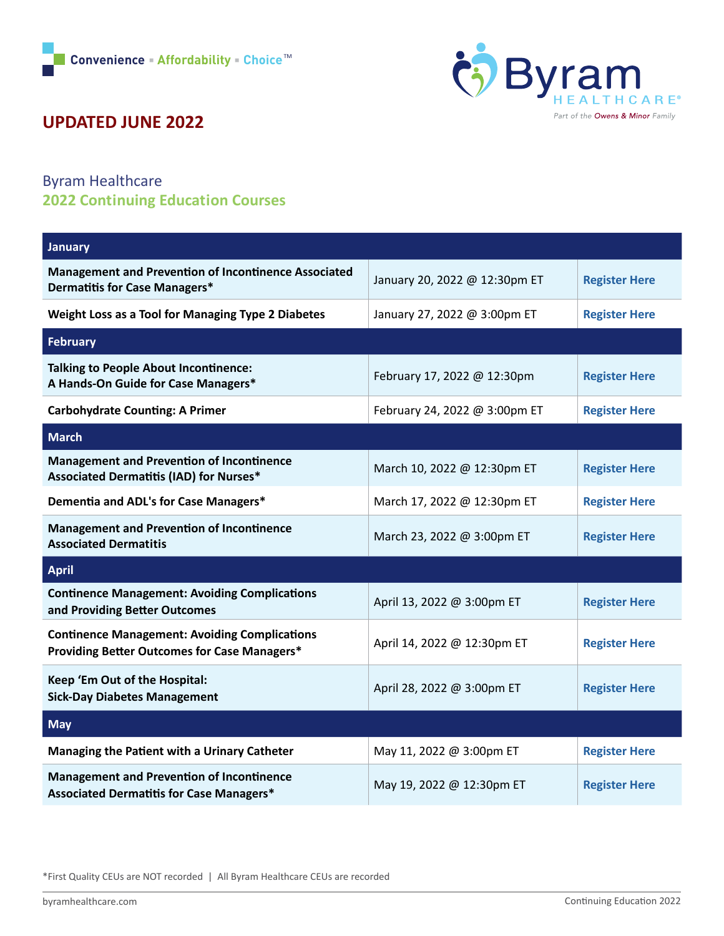

## **UPDATED JUNE 2022**

## Byram Healthcare **2022 Continuing Education Courses**

| <b>January</b>                                                                                              |                               |                      |
|-------------------------------------------------------------------------------------------------------------|-------------------------------|----------------------|
| <b>Management and Prevention of Incontinence Associated</b><br>Dermatitis for Case Managers*                | January 20, 2022 @ 12:30pm ET | <b>Register Here</b> |
| Weight Loss as a Tool for Managing Type 2 Diabetes                                                          | January 27, 2022 @ 3:00pm ET  | <b>Register Here</b> |
| <b>February</b>                                                                                             |                               |                      |
| <b>Talking to People About Incontinence:</b><br>A Hands-On Guide for Case Managers*                         | February 17, 2022 @ 12:30pm   | <b>Register Here</b> |
| <b>Carbohydrate Counting: A Primer</b>                                                                      | February 24, 2022 @ 3:00pm ET | <b>Register Here</b> |
| <b>March</b>                                                                                                |                               |                      |
| <b>Management and Prevention of Incontinence</b><br><b>Associated Dermatitis (IAD) for Nurses*</b>          | March 10, 2022 @ 12:30pm ET   | <b>Register Here</b> |
| Dementia and ADL's for Case Managers*                                                                       | March 17, 2022 @ 12:30pm ET   | <b>Register Here</b> |
| <b>Management and Prevention of Incontinence</b><br><b>Associated Dermatitis</b>                            | March 23, 2022 @ 3:00pm ET    | <b>Register Here</b> |
| <b>April</b>                                                                                                |                               |                      |
| <b>Continence Management: Avoiding Complications</b><br>and Providing Better Outcomes                       | April 13, 2022 @ 3:00pm ET    | <b>Register Here</b> |
| <b>Continence Management: Avoiding Complications</b><br><b>Providing Better Outcomes for Case Managers*</b> | April 14, 2022 @ 12:30pm ET   | <b>Register Here</b> |
| Keep 'Em Out of the Hospital:<br><b>Sick-Day Diabetes Management</b>                                        | April 28, 2022 @ 3:00pm ET    | <b>Register Here</b> |
| <b>May</b>                                                                                                  |                               |                      |
| Managing the Patient with a Urinary Catheter                                                                | May 11, 2022 @ 3:00pm ET      | <b>Register Here</b> |
| <b>Management and Prevention of Incontinence</b><br><b>Associated Dermatitis for Case Managers*</b>         | May 19, 2022 @ 12:30pm ET     | <b>Register Here</b> |

\*First Quality CEUs are NOT recorded | All Byram Healthcare CEUs are recorded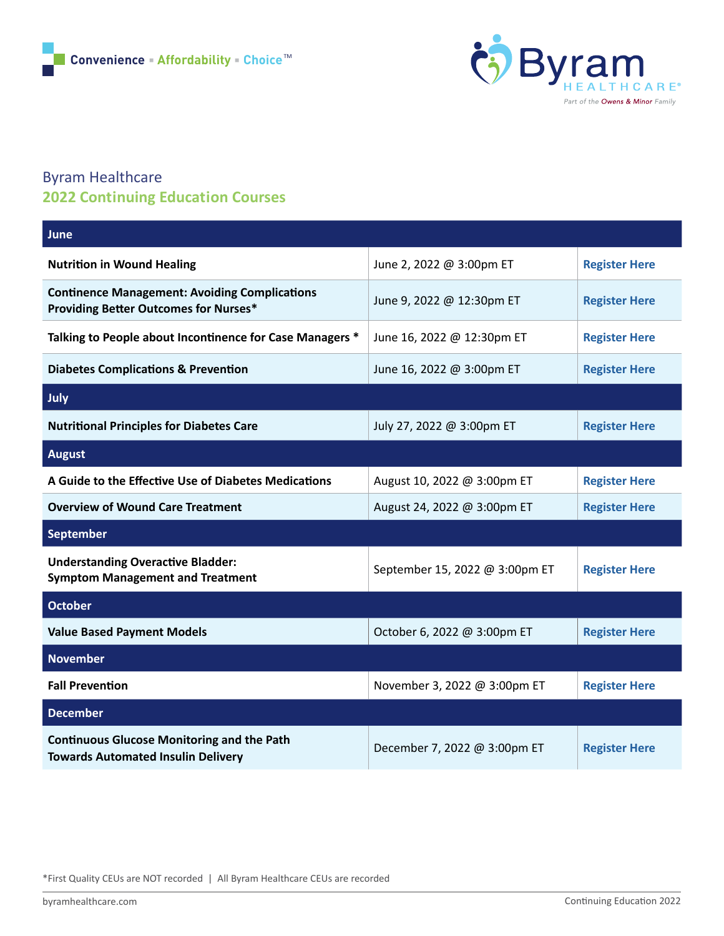

## Byram Healthcare **2022 Continuing Education Courses**

| June                                                                                                 |                                |                      |
|------------------------------------------------------------------------------------------------------|--------------------------------|----------------------|
| <b>Nutrition in Wound Healing</b>                                                                    | June 2, 2022 @ 3:00pm ET       | <b>Register Here</b> |
| <b>Continence Management: Avoiding Complications</b><br><b>Providing Better Outcomes for Nurses*</b> | June 9, 2022 @ 12:30pm ET      | <b>Register Here</b> |
| Talking to People about Incontinence for Case Managers *                                             | June 16, 2022 @ 12:30pm ET     | <b>Register Here</b> |
| <b>Diabetes Complications &amp; Prevention</b>                                                       | June 16, 2022 @ 3:00pm ET      | <b>Register Here</b> |
| July                                                                                                 |                                |                      |
| <b>Nutritional Principles for Diabetes Care</b>                                                      | July 27, 2022 @ 3:00pm ET      | <b>Register Here</b> |
| <b>August</b>                                                                                        |                                |                      |
| A Guide to the Effective Use of Diabetes Medications                                                 | August 10, 2022 @ 3:00pm ET    | <b>Register Here</b> |
| <b>Overview of Wound Care Treatment</b>                                                              | August 24, 2022 @ 3:00pm ET    | <b>Register Here</b> |
| September                                                                                            |                                |                      |
| <b>Understanding Overactive Bladder:</b><br><b>Symptom Management and Treatment</b>                  | September 15, 2022 @ 3:00pm ET | <b>Register Here</b> |
| <b>October</b>                                                                                       |                                |                      |
| <b>Value Based Payment Models</b>                                                                    | October 6, 2022 @ 3:00pm ET    | <b>Register Here</b> |
| <b>November</b>                                                                                      |                                |                      |
| <b>Fall Prevention</b>                                                                               | November 3, 2022 @ 3:00pm ET   | <b>Register Here</b> |
| <b>December</b>                                                                                      |                                |                      |
| <b>Continuous Glucose Monitoring and the Path</b><br><b>Towards Automated Insulin Delivery</b>       | December 7, 2022 @ 3:00pm ET   | <b>Register Here</b> |

\*First Quality CEUs are NOT recorded | All Byram Healthcare CEUs are recorded